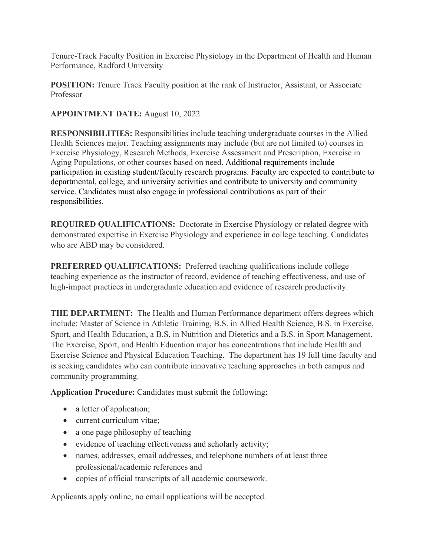Tenure-Track Faculty Position in Exercise Physiology in the Department of Health and Human Performance, Radford University

**POSITION:** Tenure Track Faculty position at the rank of Instructor, Assistant, or Associate Professor

**APPOINTMENT DATE:** August 10, 2022

**RESPONSIBILITIES:** Responsibilities include teaching undergraduate courses in the Allied Health Sciences major. Teaching assignments may include (but are not limited to) courses in Exercise Physiology, Research Methods, Exercise Assessment and Prescription, Exercise in Aging Populations, or other courses based on need. Additional requirements include participation in existing student/faculty research programs. Faculty are expected to contribute to departmental, college, and university activities and contribute to university and community service. Candidates must also engage in professional contributions as part of their responsibilities.

**REQUIRED QUALIFICATIONS:** Doctorate in Exercise Physiology or related degree with demonstrated expertise in Exercise Physiology and experience in college teaching. Candidates who are ABD may be considered.

**PREFERRED QUALIFICATIONS:** Preferred teaching qualifications include college teaching experience as the instructor of record, evidence of teaching effectiveness, and use of high-impact practices in undergraduate education and evidence of research productivity.

**THE DEPARTMENT:** The Health and Human Performance department offers degrees which include: Master of Science in Athletic Training, B.S. in Allied Health Science, B.S. in Exercise, Sport, and Health Education, a B.S. in Nutrition and Dietetics and a B.S. in Sport Management. The Exercise, Sport, and Health Education major has concentrations that include Health and Exercise Science and Physical Education Teaching. The department has 19 full time faculty and is seeking candidates who can contribute innovative teaching approaches in both campus and community programming.

**Application Procedure:** Candidates must submit the following:

- a letter of application;
- current curriculum vitae;
- a one page philosophy of teaching
- evidence of teaching effectiveness and scholarly activity;
- names, addresses, email addresses, and telephone numbers of at least three professional/academic references and
- copies of official transcripts of all academic coursework.

Applicants apply online, no email applications will be accepted.